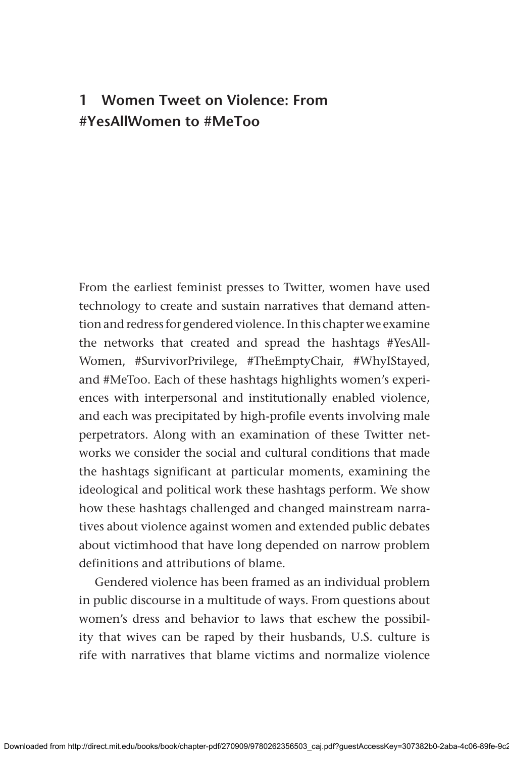# **1 Women Tweet on Violence: From #YesAllWomen to #MeToo**

From the earliest feminist presses to Twitter, women have used technology to create and sustain narratives that demand attention and redress for gendered violence. In this chapter we examine the networks that created and spread the hashtags #YesAll-Women, #SurvivorPrivilege, #TheEmptyChair, #WhyIStayed, and #MeToo. Each of these hashtags highlights women's experiences with interpersonal and institutionally enabled violence, and each was precipitated by high-profile events involving male perpetrators. Along with an examination of these Twitter networks we consider the social and cultural conditions that made the hashtags significant at particular moments, examining the ideological and political work these hashtags perform. We show how these hashtags challenged and changed mainstream narratives about violence against women and extended public debates about victimhood that have long depended on narrow problem definitions and attributions of blame.

Gendered violence has been framed as an individual problem in public discourse in a multitude of ways. From questions about women's dress and behavior to laws that eschew the possibility that wives can be raped by their husbands, U.S. culture is rife with narratives that blame victims and normalize violence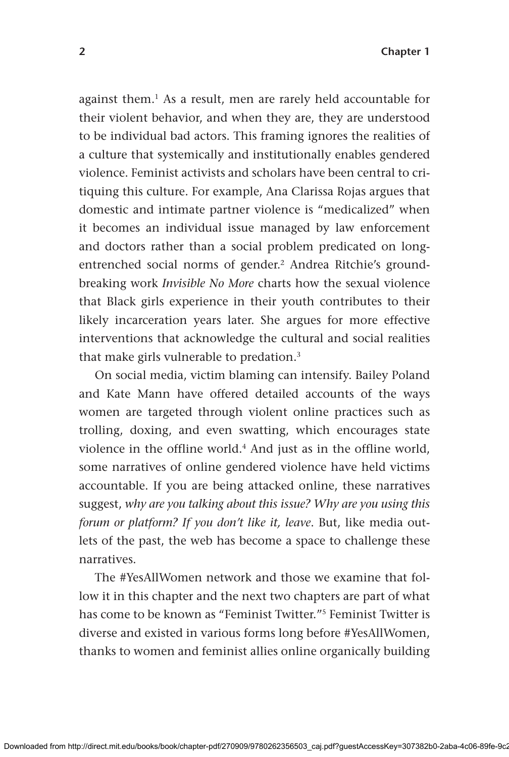against them.<sup>1</sup> As a result, men are rarely held accountable for their violent behavior, and when they are, they are understood to be individual bad actors. This framing ignores the realities of a culture that systemically and institutionally enables gendered violence. Feminist activists and scholars have been central to critiquing this culture. For example, Ana Clarissa Rojas argues that domestic and intimate partner violence is "medicalized" when it becomes an individual issue managed by law enforcement and doctors rather than a social problem predicated on longentrenched social norms of gender.<sup>2</sup> Andrea Ritchie's groundbreaking work *Invisible No More* charts how the sexual violence that Black girls experience in their youth contributes to their likely incarceration years later. She argues for more effective interventions that acknowledge the cultural and social realities that make girls vulnerable to predation.3

On social media, victim blaming can intensify. Bailey Poland and Kate Mann have offered detailed accounts of the ways women are targeted through violent online practices such as trolling, doxing, and even swatting, which encourages state violence in the offline world.<sup>4</sup> And just as in the offline world, some narratives of online gendered violence have held victims accountable. If you are being attacked online, these narratives suggest, *why are you talking about this issue? Why are you using this forum or platform? If you don't like it, leave*. But, like media outlets of the past, the web has become a space to challenge these narratives.

The #YesAllWomen network and those we examine that follow it in this chapter and the next two chapters are part of what has come to be known as "Feminist Twitter."5 Feminist Twitter is diverse and existed in various forms long before #YesAllWomen, thanks to women and feminist allies online organically building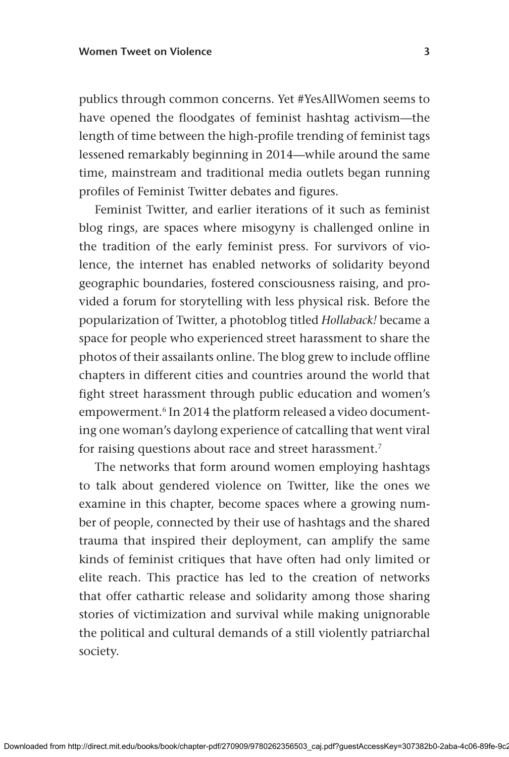publics through common concerns. Yet #YesAllWomen seems to have opened the floodgates of feminist hashtag activism—the length of time between the high-profile trending of feminist tags lessened remarkably beginning in 2014—while around the same time, mainstream and traditional media outlets began running profiles of Feminist Twitter debates and figures.

Feminist Twitter, and earlier iterations of it such as feminist blog rings, are spaces where misogyny is challenged online in the tradition of the early feminist press. For survivors of violence, the internet has enabled networks of solidarity beyond geographic boundaries, fostered consciousness raising, and provided a forum for storytelling with less physical risk. Before the popularization of Twitter, a photoblog titled *Hollaback!* became a space for people who experienced street harassment to share the photos of their assailants online. The blog grew to include offline chapters in different cities and countries around the world that fight street harassment through public education and women's empowerment.<sup>6</sup> In 2014 the platform released a video documenting one woman's daylong experience of catcalling that went viral for raising questions about race and street harassment.<sup>7</sup>

The networks that form around women employing hashtags to talk about gendered violence on Twitter, like the ones we examine in this chapter, become spaces where a growing number of people, connected by their use of hashtags and the shared trauma that inspired their deployment, can amplify the same kinds of feminist critiques that have often had only limited or elite reach. This practice has led to the creation of networks that offer cathartic release and solidarity among those sharing stories of victimization and survival while making unignorable the political and cultural demands of a still violently patriarchal society.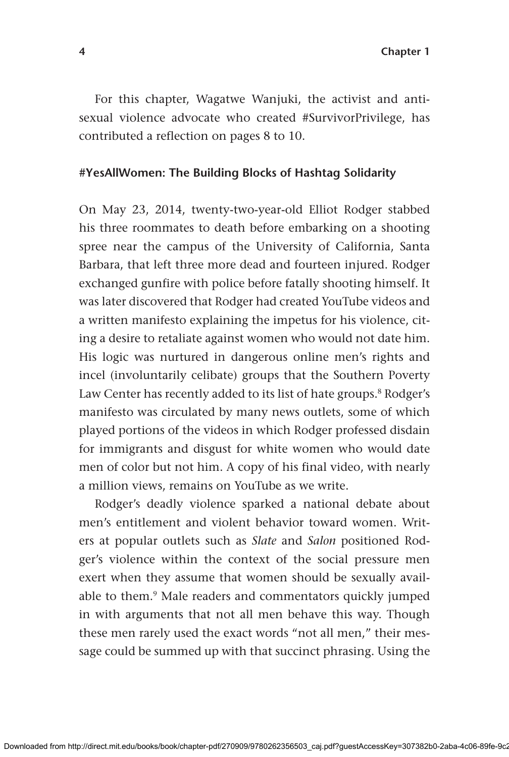For this chapter, Wagatwe Wanjuki, the activist and antisexual violence advocate who created #SurvivorPrivilege, has contributed a reflection on pages 8 to 10.

# **#YesAllWomen: The Building Blocks of Hashtag Solidarity**

On May 23, 2014, twenty-two-year-old Elliot Rodger stabbed his three roommates to death before embarking on a shooting spree near the campus of the University of California, Santa Barbara, that left three more dead and fourteen injured. Rodger exchanged gunfire with police before fatally shooting himself. It was later discovered that Rodger had created YouTube videos and a written manifesto explaining the impetus for his violence, citing a desire to retaliate against women who would not date him. His logic was nurtured in dangerous online men's rights and incel (involuntarily celibate) groups that the Southern Poverty Law Center has recently added to its list of hate groups.<sup>8</sup> Rodger's manifesto was circulated by many news outlets, some of which played portions of the videos in which Rodger professed disdain for immigrants and disgust for white women who would date men of color but not him. A copy of his final video, with nearly a million views, remains on YouTube as we write.

Rodger's deadly violence sparked a national debate about men's entitlement and violent behavior toward women. Writers at popular outlets such as *Slate* and *Salon* positioned Rodger's violence within the context of the social pressure men exert when they assume that women should be sexually available to them.<sup>9</sup> Male readers and commentators quickly jumped in with arguments that not all men behave this way. Though these men rarely used the exact words "not all men," their message could be summed up with that succinct phrasing. Using the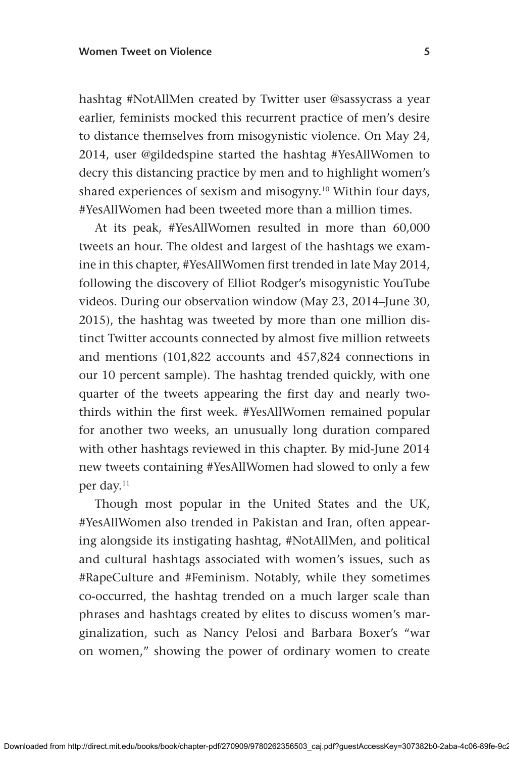hashtag #NotAllMen created by Twitter user @sassycrass a year earlier, feminists mocked this recurrent practice of men's desire to distance themselves from misogynistic violence. On May 24, 2014, user @gildedspine started the hashtag #YesAllWomen to decry this distancing practice by men and to highlight women's shared experiences of sexism and misogyny.<sup>10</sup> Within four days, #YesAllWomen had been tweeted more than a million times.

At its peak, #YesAllWomen resulted in more than 60,000 tweets an hour. The oldest and largest of the hashtags we examine in this chapter, #YesAllWomen first trended in late May 2014, following the discovery of Elliot Rodger's misogynistic YouTube videos. During our observation window (May 23, 2014–June 30, 2015), the hashtag was tweeted by more than one million distinct Twitter accounts connected by almost five million retweets and mentions (101,822 accounts and 457,824 connections in our 10 percent sample). The hashtag trended quickly, with one quarter of the tweets appearing the first day and nearly twothirds within the first week. #YesAllWomen remained popular for another two weeks, an unusually long duration compared with other hashtags reviewed in this chapter. By mid-June 2014 new tweets containing #YesAllWomen had slowed to only a few per day.11

Though most popular in the United States and the UK, #YesAllWomen also trended in Pakistan and Iran, often appearing alongside its instigating hashtag, #NotAllMen, and political and cultural hashtags associated with women's issues, such as #RapeCulture and #Feminism. Notably, while they sometimes co-occurred, the hashtag trended on a much larger scale than phrases and hashtags created by elites to discuss women's marginalization, such as Nancy Pelosi and Barbara Boxer's "war on women," showing the power of ordinary women to create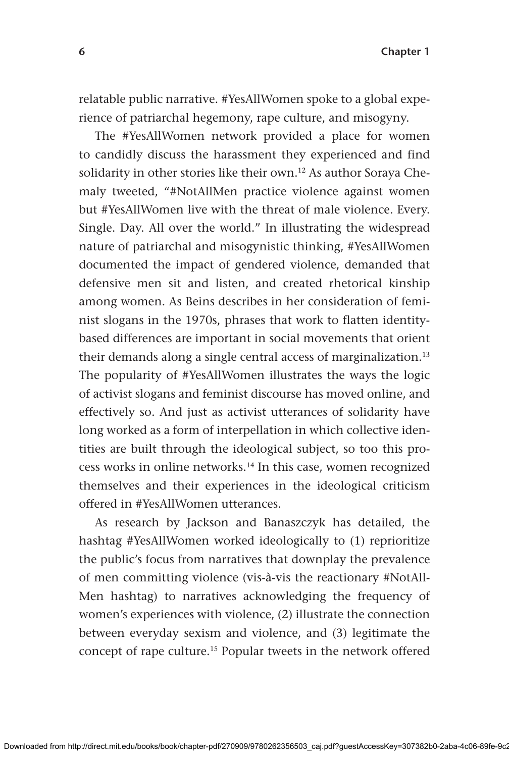relatable public narrative. #YesAllWomen spoke to a global experience of patriarchal hegemony, rape culture, and misogyny.

The #YesAllWomen network provided a place for women to candidly discuss the harassment they experienced and find solidarity in other stories like their own.12 As author Soraya Chemaly tweeted, "#NotAllMen practice violence against women but #YesAllWomen live with the threat of male violence. Every. Single. Day. All over the world." In illustrating the widespread nature of patriarchal and misogynistic thinking, #YesAllWomen documented the impact of gendered violence, demanded that defensive men sit and listen, and created rhetorical kinship among women. As Beins describes in her consideration of feminist slogans in the 1970s, phrases that work to flatten identitybased differences are important in social movements that orient their demands along a single central access of marginalization.13 The popularity of #YesAllWomen illustrates the ways the logic of activist slogans and feminist discourse has moved online, and effectively so. And just as activist utterances of solidarity have long worked as a form of interpellation in which collective identities are built through the ideological subject, so too this process works in online networks.14 In this case, women recognized themselves and their experiences in the ideological criticism offered in #YesAllWomen utterances.

As research by Jackson and Banaszczyk has detailed, the hashtag #YesAllWomen worked ideologically to (1) reprioritize the public's focus from narratives that downplay the prevalence of men committing violence (vis-à-vis the reactionary #NotAll-Men hashtag) to narratives acknowledging the frequency of women's experiences with violence, (2) illustrate the connection between everyday sexism and violence, and (3) legitimate the concept of rape culture.15 Popular tweets in the network offered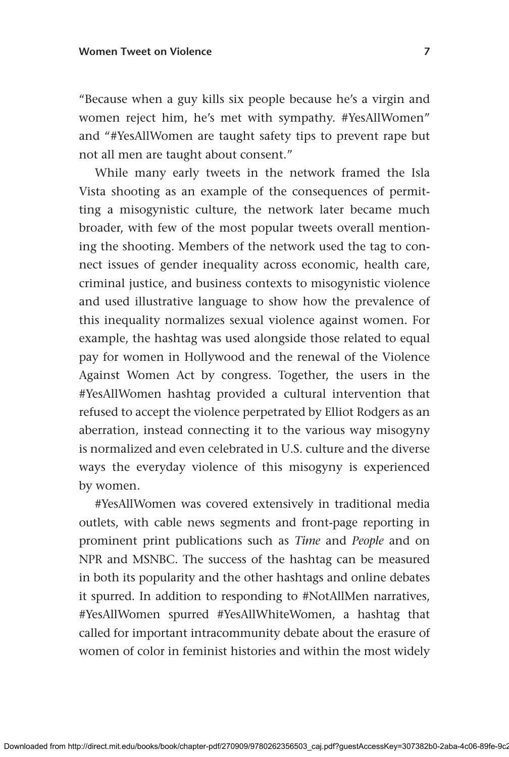"Because when a guy kills six people because he's a virgin and women reject him, he's met with sympathy. #YesAllWomen" and "#YesAllWomen are taught safety tips to prevent rape but not all men are taught about consent."

While many early tweets in the network framed the Isla Vista shooting as an example of the consequences of permitting a misogynistic culture, the network later became much broader, with few of the most popular tweets overall mentioning the shooting. Members of the network used the tag to connect issues of gender inequality across economic, health care, criminal justice, and business contexts to misogynistic violence and used illustrative language to show how the prevalence of this inequality normalizes sexual violence against women. For example, the hashtag was used alongside those related to equal pay for women in Hollywood and the renewal of the Violence Against Women Act by congress. Together, the users in the #YesAllWomen hashtag provided a cultural intervention that refused to accept the violence perpetrated by Elliot Rodgers as an aberration, instead connecting it to the various way misogyny is normalized and even celebrated in U.S. culture and the diverse ways the everyday violence of this misogyny is experienced by women.

#YesAllWomen was covered extensively in traditional media outlets, with cable news segments and front-page reporting in prominent print publications such as *Time* and *People* and on NPR and MSNBC. The success of the hashtag can be measured in both its popularity and the other hashtags and online debates it spurred. In addition to responding to #NotAllMen narratives, #YesAllWomen spurred #YesAllWhiteWomen, a hashtag that called for important intracommunity debate about the erasure of women of color in feminist histories and within the most widely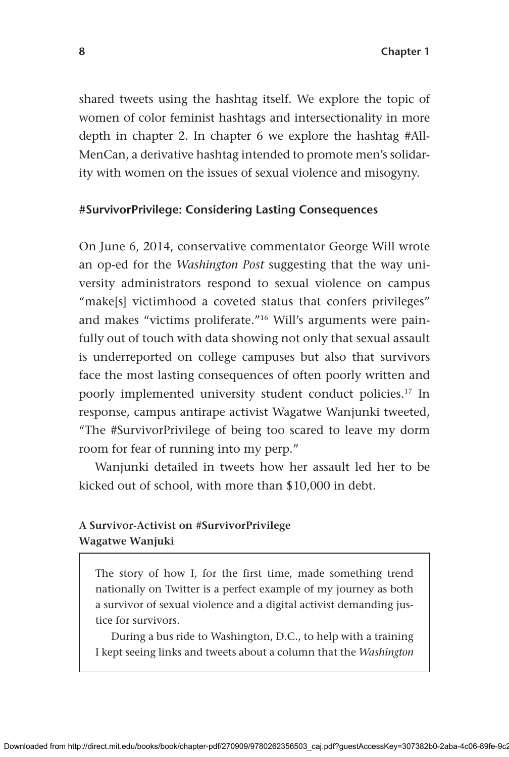**8 Chapter 1**

shared tweets using the hashtag itself. We explore the topic of women of color feminist hashtags and intersectionality in more depth in chapter 2. In chapter 6 we explore the hashtag #All-MenCan, a derivative hashtag intended to promote men's solidarity with women on the issues of sexual violence and misogyny.

# **#SurvivorPrivilege: Considering Lasting Consequences**

On June 6, 2014, conservative commentator George Will wrote an op-ed for the *Washington Post* suggesting that the way university administrators respond to sexual violence on campus "make[s] victimhood a coveted status that confers privileges" and makes "victims proliferate."16 Will's arguments were painfully out of touch with data showing not only that sexual assault is underreported on college campuses but also that survivors face the most lasting consequences of often poorly written and poorly implemented university student conduct policies.17 In response, campus antirape activist Wagatwe Wanjunki tweeted, "The #SurvivorPrivilege of being too scared to leave my dorm room for fear of running into my perp."

Wanjunki detailed in tweets how her assault led her to be kicked out of school, with more than \$10,000 in debt.

# **A Survivor-Activist on #SurvivorPrivilege Wagatwe Wanjuki**

The story of how I, for the first time, made something trend nationally on Twitter is a perfect example of my journey as both a survivor of sexual violence and a digital activist demanding justice for survivors.

During a bus ride to Washington, D.C., to help with a training I kept seeing links and tweets about a column that the *Washington*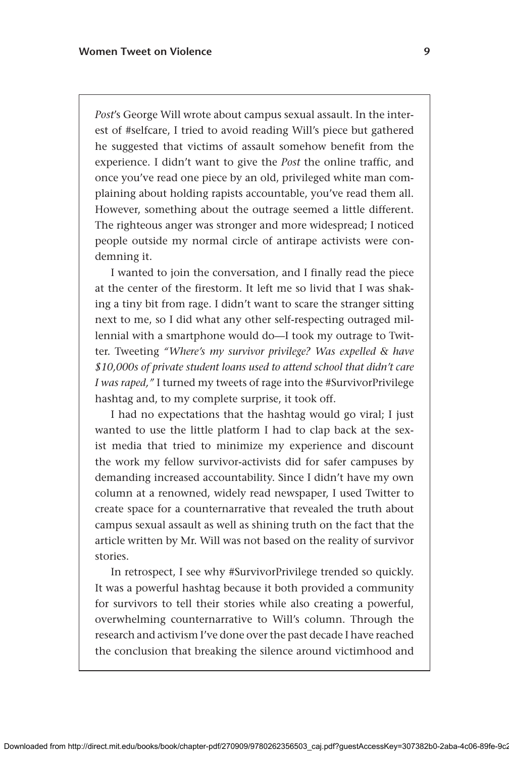*Post*'s George Will wrote about campus sexual assault. In the interest of #selfcare, I tried to avoid reading Will's piece but gathered he suggested that victims of assault somehow benefit from the experience. I didn't want to give the *Post* the online traffic, and once you've read one piece by an old, privileged white man complaining about holding rapists accountable, you've read them all. However, something about the outrage seemed a little different. The righteous anger was stronger and more widespread; I noticed people outside my normal circle of antirape activists were condemning it.

I wanted to join the conversation, and I finally read the piece at the center of the firestorm. It left me so livid that I was shaking a tiny bit from rage. I didn't want to scare the stranger sitting next to me, so I did what any other self-respecting outraged millennial with a smartphone would do—I took my outrage to Twitter. Tweeting *"Where's my survivor privilege? Was expelled & have \$10,000s of private student loans used to attend school that didn't care I was raped,"* I turned my tweets of rage into the #SurvivorPrivilege hashtag and, to my complete surprise, it took off.

I had no expectations that the hashtag would go viral; I just wanted to use the little platform I had to clap back at the sexist media that tried to minimize my experience and discount the work my fellow survivor-activists did for safer campuses by demanding increased accountability. Since I didn't have my own column at a renowned, widely read newspaper, I used Twitter to create space for a counternarrative that revealed the truth about campus sexual assault as well as shining truth on the fact that the article written by Mr. Will was not based on the reality of survivor stories.

In retrospect, I see why #SurvivorPrivilege trended so quickly. It was a powerful hashtag because it both provided a community for survivors to tell their stories while also creating a powerful, overwhelming counternarrative to Will's column. Through the research and activism I've done over the past decade I have reached the conclusion that breaking the silence around victimhood and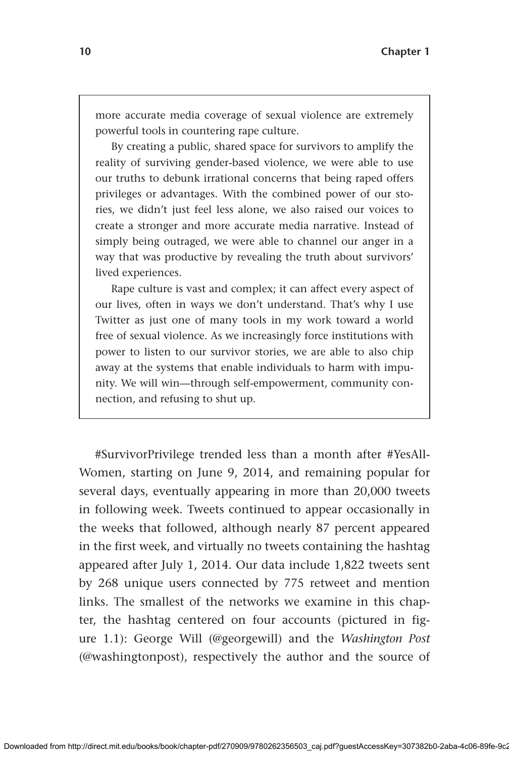more accurate media coverage of sexual violence are extremely powerful tools in countering rape culture.

By creating a public, shared space for survivors to amplify the reality of surviving gender-based violence, we were able to use our truths to debunk irrational concerns that being raped offers privileges or advantages. With the combined power of our stories, we didn't just feel less alone, we also raised our voices to create a stronger and more accurate media narrative. Instead of simply being outraged, we were able to channel our anger in a way that was productive by revealing the truth about survivors' lived experiences.

Rape culture is vast and complex; it can affect every aspect of our lives, often in ways we don't understand. That's why I use Twitter as just one of many tools in my work toward a world free of sexual violence. As we increasingly force institutions with power to listen to our survivor stories, we are able to also chip away at the systems that enable individuals to harm with impunity. We will win—through self-empowerment, community connection, and refusing to shut up.

#SurvivorPrivilege trended less than a month after #YesAll-Women, starting on June 9, 2014, and remaining popular for several days, eventually appearing in more than 20,000 tweets in following week. Tweets continued to appear occasionally in the weeks that followed, although nearly 87 percent appeared in the first week, and virtually no tweets containing the hashtag appeared after July 1, 2014. Our data include 1,822 tweets sent by 268 unique users connected by 775 retweet and mention links. The smallest of the networks we examine in this chapter, the hashtag centered on four accounts (pictured in figure 1.1): George Will (@georgewill) and the *Washington Post* (@washingtonpost), respectively the author and the source of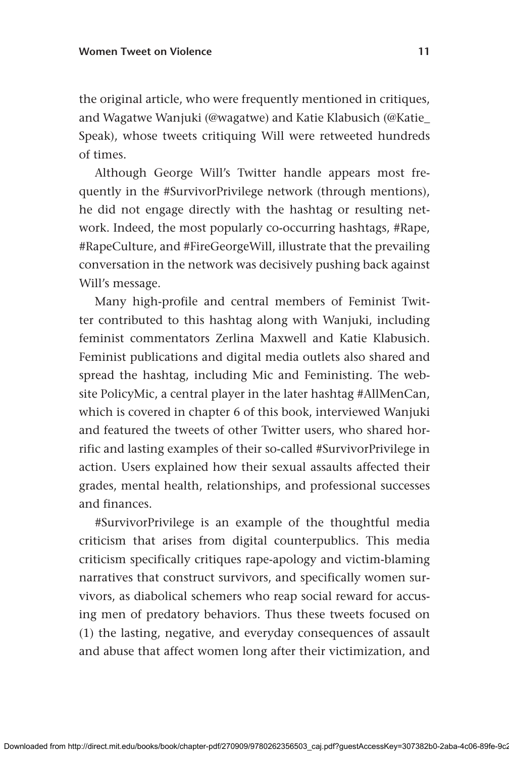the original article, who were frequently mentioned in critiques, and Wagatwe Wanjuki (@wagatwe) and Katie Klabusich (@Katie\_ Speak), whose tweets critiquing Will were retweeted hundreds of times.

Although George Will's Twitter handle appears most frequently in the #SurvivorPrivilege network (through mentions), he did not engage directly with the hashtag or resulting network. Indeed, the most popularly co-occurring hashtags, #Rape, #RapeCulture, and #FireGeorgeWill, illustrate that the prevailing conversation in the network was decisively pushing back against Will's message.

Many high-profile and central members of Feminist Twitter contributed to this hashtag along with Wanjuki, including feminist commentators Zerlina Maxwell and Katie Klabusich. Feminist publications and digital media outlets also shared and spread the hashtag, including Mic and Feministing. The website PolicyMic, a central player in the later hashtag #AllMenCan, which is covered in chapter 6 of this book, interviewed Wanjuki and featured the tweets of other Twitter users, who shared horrific and lasting examples of their so-called #SurvivorPrivilege in action. Users explained how their sexual assaults affected their grades, mental health, relationships, and professional successes and finances.

#SurvivorPrivilege is an example of the thoughtful media criticism that arises from digital counterpublics. This media criticism specifically critiques rape-apology and victim-blaming narratives that construct survivors, and specifically women survivors, as diabolical schemers who reap social reward for accusing men of predatory behaviors. Thus these tweets focused on (1) the lasting, negative, and everyday consequences of assault and abuse that affect women long after their victimization, and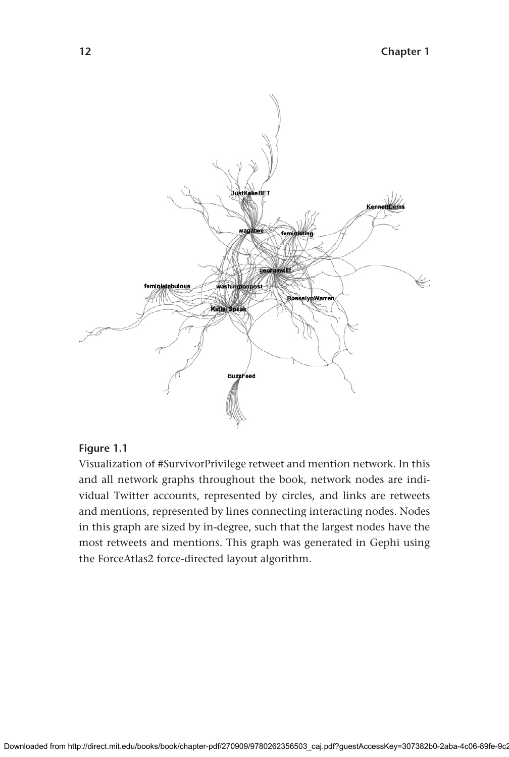

#### **Figure 1.1**

Visualization of #SurvivorPrivilege retweet and mention network. In this and all network graphs throughout the book, network nodes are individual Twitter accounts, represented by circles, and links are retweets and mentions, represented by lines connecting interacting nodes. Nodes in this graph are sized by in-degree, such that the largest nodes have the most retweets and mentions. This graph was generated in Gephi using the ForceAtlas2 force-directed layout algorithm.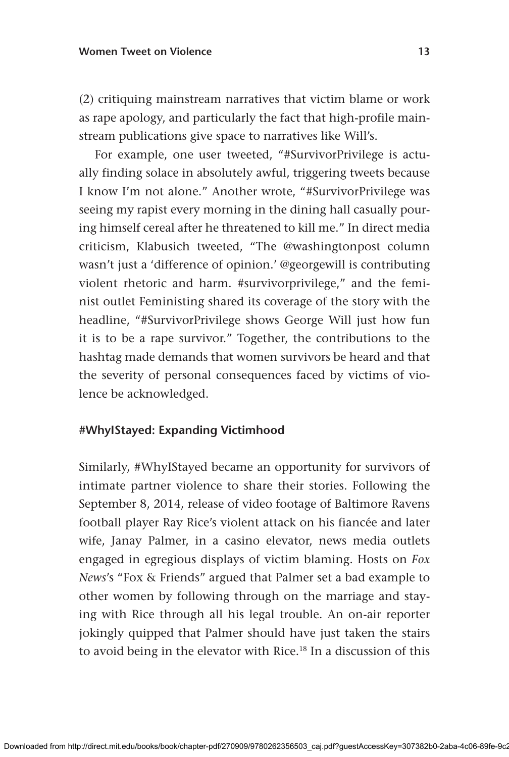**Women Tweet on Violence 13**

(2) critiquing mainstream narratives that victim blame or work as rape apology, and particularly the fact that high-profile mainstream publications give space to narratives like Will's.

For example, one user tweeted, "#SurvivorPrivilege is actually finding solace in absolutely awful, triggering tweets because I know I'm not alone." Another wrote, "#SurvivorPrivilege was seeing my rapist every morning in the dining hall casually pouring himself cereal after he threatened to kill me." In direct media criticism, Klabusich tweeted, "The @washingtonpost column wasn't just a 'difference of opinion.' @georgewill is contributing violent rhetoric and harm. #survivorprivilege," and the feminist outlet Feministing shared its coverage of the story with the headline, "#SurvivorPrivilege shows George Will just how fun it is to be a rape survivor." Together, the contributions to the hashtag made demands that women survivors be heard and that the severity of personal consequences faced by victims of violence be acknowledged.

# **#WhyIStayed: Expanding Victimhood**

Similarly, #WhyIStayed became an opportunity for survivors of intimate partner violence to share their stories. Following the September 8, 2014, release of video footage of Baltimore Ravens football player Ray Rice's violent attack on his fiancée and later wife, Janay Palmer, in a casino elevator, news media outlets engaged in egregious displays of victim blaming. Hosts on *Fox News*'s "Fox & Friends" argued that Palmer set a bad example to other women by following through on the marriage and staying with Rice through all his legal trouble. An on-air reporter jokingly quipped that Palmer should have just taken the stairs to avoid being in the elevator with Rice.<sup>18</sup> In a discussion of this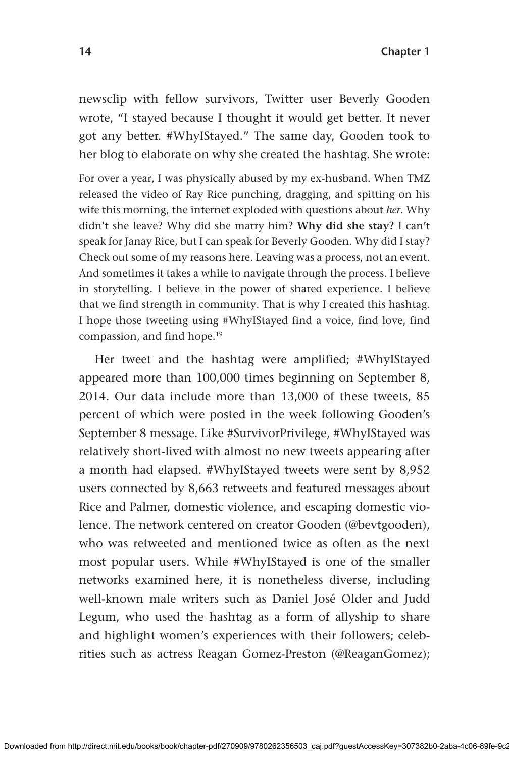newsclip with fellow survivors, Twitter user Beverly Gooden wrote, "I stayed because I thought it would get better. It never got any better. #WhyIStayed." The same day, Gooden took to her blog to elaborate on why she created the hashtag. She wrote:

For over a year, I was physically abused by my ex-husband. When TMZ released the video of Ray Rice punching, dragging, and spitting on his wife this morning, the internet exploded with questions about *her*. Why didn't she leave? Why did she marry him? **Why did she stay?** I can't speak for Janay Rice, but I can speak for Beverly Gooden. Why did I stay? Check out some of my reasons here. Leaving was a process, not an event. And sometimes it takes a while to navigate through the process. I believe in storytelling. I believe in the power of shared experience. I believe that we find strength in community. That is why I created this hashtag. I hope those tweeting using #WhyIStayed find a voice, find love, find compassion, and find hope.<sup>19</sup>

Her tweet and the hashtag were amplified; #WhyIStayed appeared more than 100,000 times beginning on September 8, 2014. Our data include more than 13,000 of these tweets, 85 percent of which were posted in the week following Gooden's September 8 message. Like #SurvivorPrivilege, #WhyIStayed was relatively short-lived with almost no new tweets appearing after a month had elapsed. #WhyIStayed tweets were sent by 8,952 users connected by 8,663 retweets and featured messages about Rice and Palmer, domestic violence, and escaping domestic violence. The network centered on creator Gooden (@bevtgooden), who was retweeted and mentioned twice as often as the next most popular users. While #WhyIStayed is one of the smaller networks examined here, it is nonetheless diverse, including well-known male writers such as Daniel José Older and Judd Legum, who used the hashtag as a form of allyship to share and highlight women's experiences with their followers; celebrities such as actress Reagan Gomez-Preston (@ReaganGomez);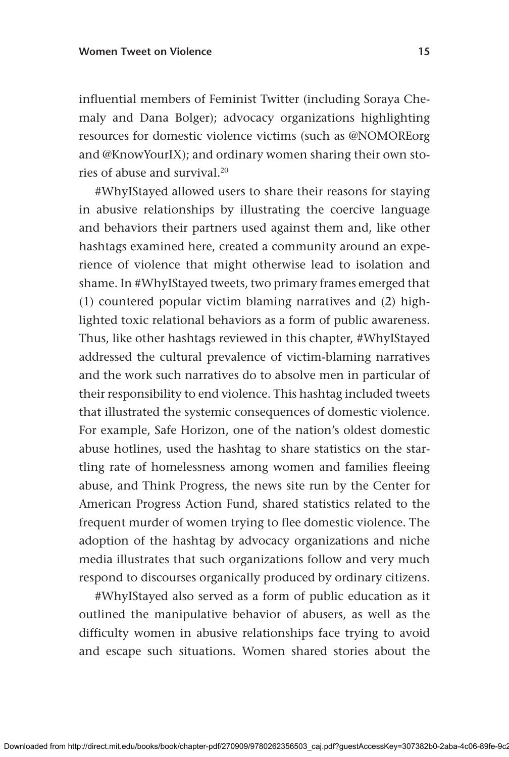influential members of Feminist Twitter (including Soraya Chemaly and Dana Bolger); advocacy organizations highlighting resources for domestic violence victims (such as @NOMOREorg and @KnowYourIX); and ordinary women sharing their own stories of abuse and survival.20

#WhyIStayed allowed users to share their reasons for staying in abusive relationships by illustrating the coercive language and behaviors their partners used against them and, like other hashtags examined here, created a community around an experience of violence that might otherwise lead to isolation and shame. In #WhyIStayed tweets, two primary frames emerged that (1) countered popular victim blaming narratives and (2) highlighted toxic relational behaviors as a form of public awareness. Thus, like other hashtags reviewed in this chapter, #WhyIStayed addressed the cultural prevalence of victim-blaming narratives and the work such narratives do to absolve men in particular of their responsibility to end violence. This hashtag included tweets that illustrated the systemic consequences of domestic violence. For example, Safe Horizon, one of the nation's oldest domestic abuse hotlines, used the hashtag to share statistics on the startling rate of homelessness among women and families fleeing abuse, and Think Progress, the news site run by the Center for American Progress Action Fund, shared statistics related to the frequent murder of women trying to flee domestic violence. The adoption of the hashtag by advocacy organizations and niche media illustrates that such organizations follow and very much respond to discourses organically produced by ordinary citizens.

#WhyIStayed also served as a form of public education as it outlined the manipulative behavior of abusers, as well as the difficulty women in abusive relationships face trying to avoid and escape such situations. Women shared stories about the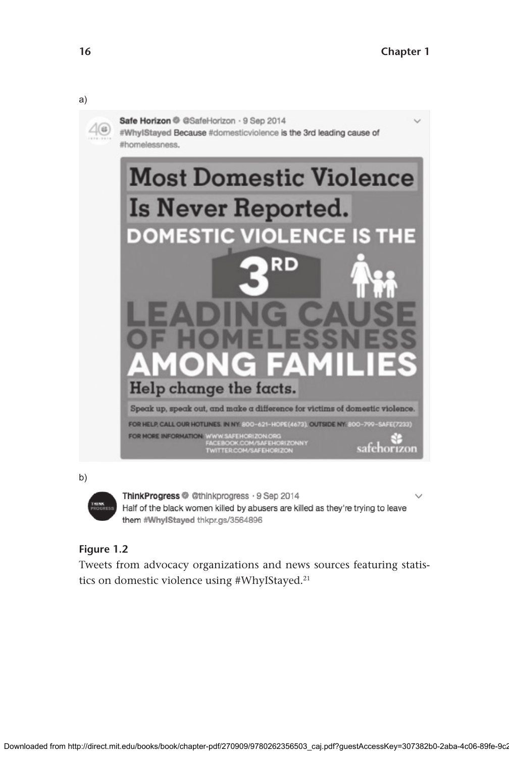

Safe Horizon @ @SafeHorizon · 9 Sep 2014 #WhylStayed Because #domesticviolence is the 3rd leading cause of #homelessness.



b)



ThinkProgress @ @thinkprogress · 9 Sep 2014 Half of the black women killed by abusers are killed as they're trying to leave them #WhylStayed thkpr.gs/3564896

# **Figure 1.2**

Tweets from advocacy organizations and news sources featuring statistics on domestic violence using #WhyIStayed.<sup>21</sup>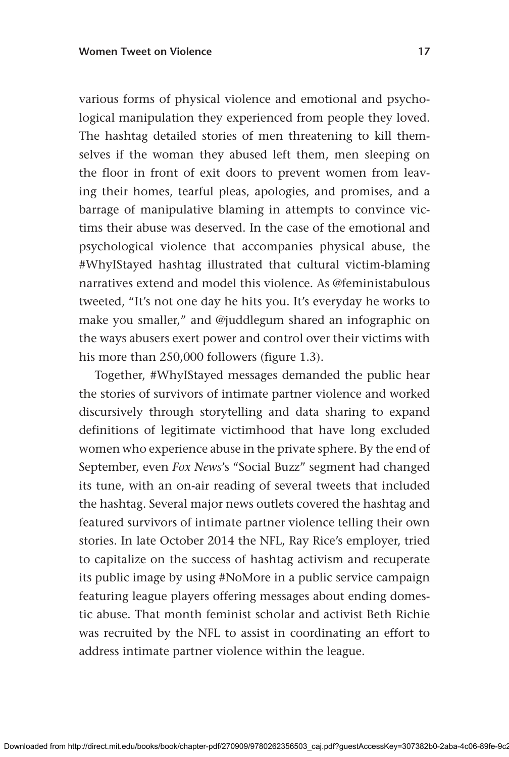various forms of physical violence and emotional and psychological manipulation they experienced from people they loved. The hashtag detailed stories of men threatening to kill themselves if the woman they abused left them, men sleeping on the floor in front of exit doors to prevent women from leaving their homes, tearful pleas, apologies, and promises, and a barrage of manipulative blaming in attempts to convince victims their abuse was deserved. In the case of the emotional and psychological violence that accompanies physical abuse, the #WhyIStayed hashtag illustrated that cultural victim-blaming narratives extend and model this violence. As @feministabulous tweeted, "It's not one day he hits you. It's everyday he works to make you smaller," and @juddlegum shared an infographic on the ways abusers exert power and control over their victims with his more than 250,000 followers (figure 1.3).

Together, #WhyIStayed messages demanded the public hear the stories of survivors of intimate partner violence and worked discursively through storytelling and data sharing to expand definitions of legitimate victimhood that have long excluded women who experience abuse in the private sphere. By the end of September, even *Fox News*'s "Social Buzz" segment had changed its tune, with an on-air reading of several tweets that included the hashtag. Several major news outlets covered the hashtag and featured survivors of intimate partner violence telling their own stories. In late October 2014 the NFL, Ray Rice's employer, tried to capitalize on the success of hashtag activism and recuperate its public image by using #NoMore in a public service campaign featuring league players offering messages about ending domestic abuse. That month feminist scholar and activist Beth Richie was recruited by the NFL to assist in coordinating an effort to address intimate partner violence within the league.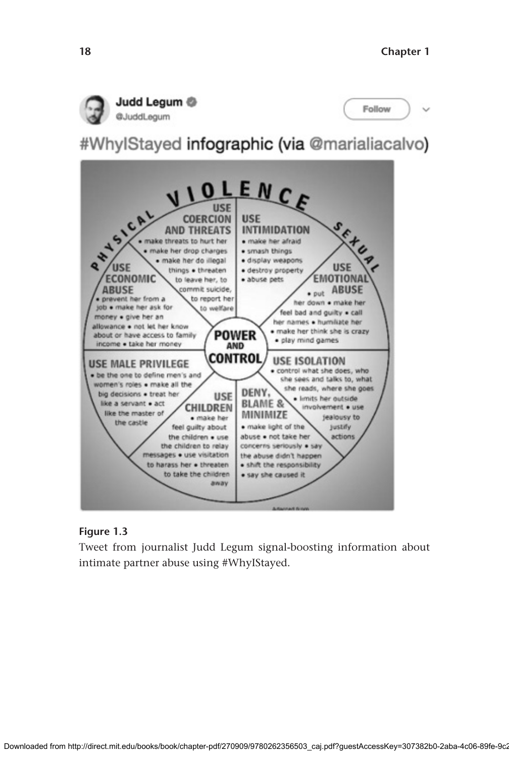

#WhylStayed infographic (via @marialiacalvo)



# **Figure 1.3**

Tweet from journalist Judd Legum signal-boosting information about intimate partner abuse using #WhyIStayed.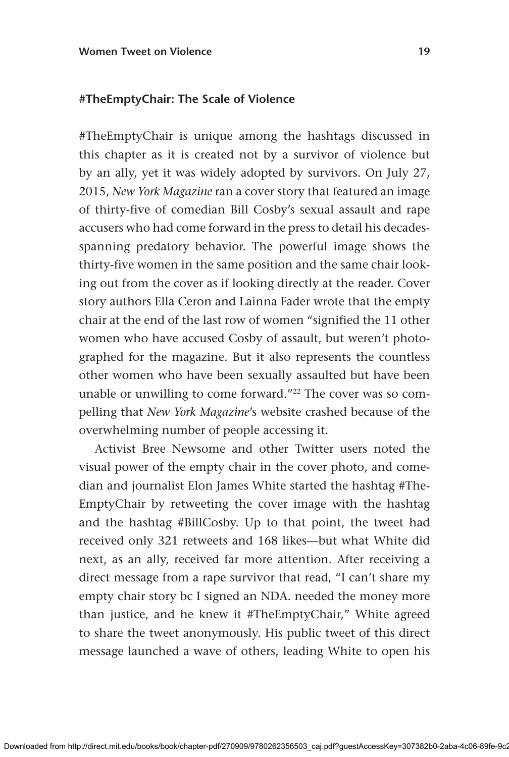# **#TheEmptyChair: The Scale of Violence**

#TheEmptyChair is unique among the hashtags discussed in this chapter as it is created not by a survivor of violence but by an ally, yet it was widely adopted by survivors. On July 27, 2015, *New York Magazine* ran a cover story that featured an image of thirty-five of comedian Bill Cosby's sexual assault and rape accusers who had come forward in the press to detail his decadesspanning predatory behavior. The powerful image shows the thirty-five women in the same position and the same chair looking out from the cover as if looking directly at the reader. Cover story authors Ella Ceron and Lainna Fader wrote that the empty chair at the end of the last row of women "signified the 11 other women who have accused Cosby of assault, but weren't photographed for the magazine. But it also represents the countless other women who have been sexually assaulted but have been unable or unwilling to come forward."22 The cover was so compelling that *New York Magazine*'s website crashed because of the overwhelming number of people accessing it.

Activist Bree Newsome and other Twitter users noted the visual power of the empty chair in the cover photo, and comedian and journalist Elon James White started the hashtag #The-EmptyChair by retweeting the cover image with the hashtag and the hashtag #BillCosby. Up to that point, the tweet had received only 321 retweets and 168 likes—but what White did next, as an ally, received far more attention. After receiving a direct message from a rape survivor that read, "I can't share my empty chair story bc I signed an NDA. needed the money more than justice, and he knew it #TheEmptyChair," White agreed to share the tweet anonymously. His public tweet of this direct message launched a wave of others, leading White to open his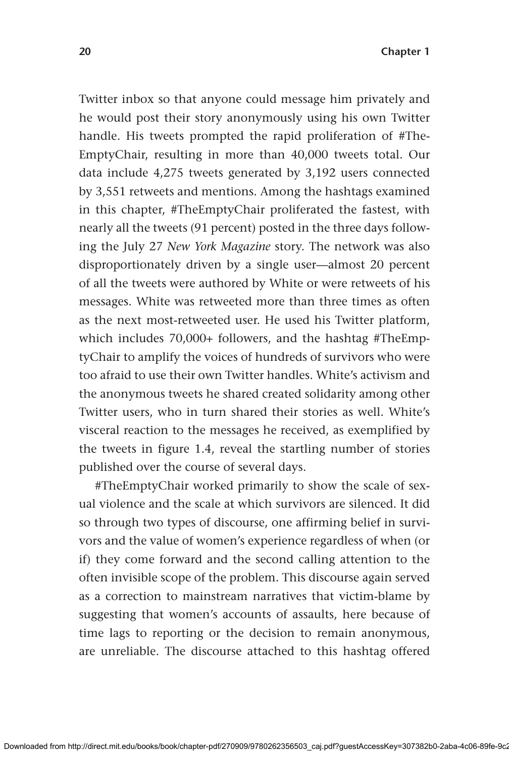Twitter inbox so that anyone could message him privately and he would post their story anonymously using his own Twitter handle. His tweets prompted the rapid proliferation of #The-EmptyChair, resulting in more than 40,000 tweets total. Our data include 4,275 tweets generated by 3,192 users connected by 3,551 retweets and mentions. Among the hashtags examined in this chapter, #TheEmptyChair proliferated the fastest, with nearly all the tweets (91 percent) posted in the three days following the July 27 *New York Magazine* story. The network was also disproportionately driven by a single user—almost 20 percent of all the tweets were authored by White or were retweets of his messages. White was retweeted more than three times as often as the next most-retweeted user. He used his Twitter platform, which includes 70,000+ followers, and the hashtag #TheEmptyChair to amplify the voices of hundreds of survivors who were too afraid to use their own Twitter handles. White's activism and the anonymous tweets he shared created solidarity among other Twitter users, who in turn shared their stories as well. White's visceral reaction to the messages he received, as exemplified by the tweets in figure 1.4, reveal the startling number of stories published over the course of several days.

#TheEmptyChair worked primarily to show the scale of sexual violence and the scale at which survivors are silenced. It did so through two types of discourse, one affirming belief in survivors and the value of women's experience regardless of when (or if) they come forward and the second calling attention to the often invisible scope of the problem. This discourse again served as a correction to mainstream narratives that victim-blame by suggesting that women's accounts of assaults, here because of time lags to reporting or the decision to remain anonymous, are unreliable. The discourse attached to this hashtag offered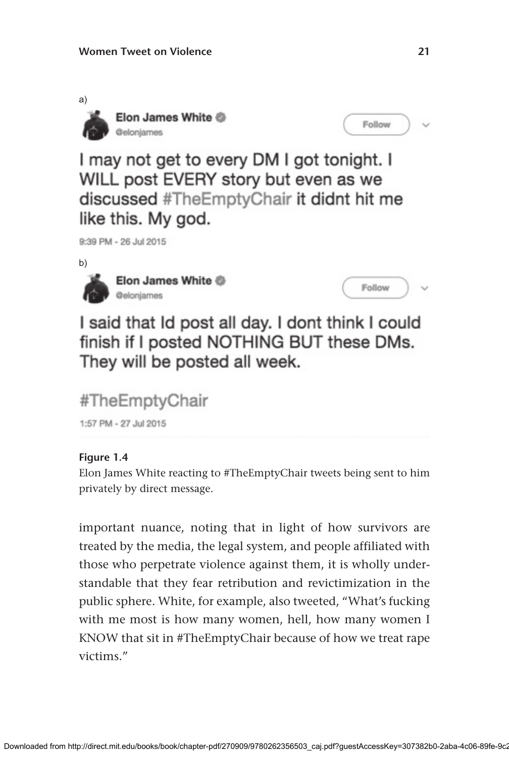

Follow

I may not get to every DM I got tonight. I WILL post EVERY story but even as we discussed #TheEmptyChair it didnt hit me like this. My god.

9:39 PM - 26 Jul 2015

b)



Elon James White ® Gelonjames



I said that Id post all day. I dont think I could finish if I posted NOTHING BUT these DMs. They will be posted all week.

# #TheEmptyChair

1:57 PM - 27 Jul 2015

# **Figure 1.4**

Elon James White reacting to #TheEmptyChair tweets being sent to him privately by direct message.

important nuance, noting that in light of how survivors are treated by the media, the legal system, and people affiliated with those who perpetrate violence against them, it is wholly understandable that they fear retribution and revictimization in the public sphere. White, for example, also tweeted, "What's fucking with me most is how many women, hell, how many women I KNOW that sit in #TheEmptyChair because of how we treat rape victims."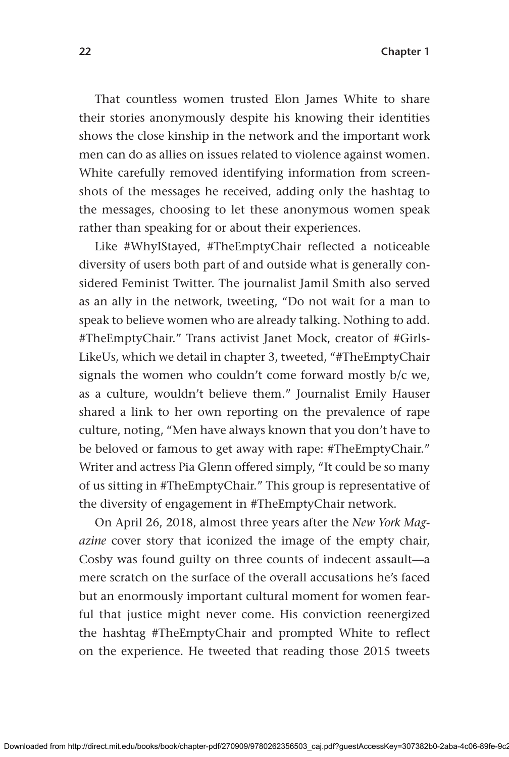**22 Chapter 1**

That countless women trusted Elon James White to share their stories anonymously despite his knowing their identities shows the close kinship in the network and the important work men can do as allies on issues related to violence against women. White carefully removed identifying information from screenshots of the messages he received, adding only the hashtag to the messages, choosing to let these anonymous women speak rather than speaking for or about their experiences.

Like #WhyIStayed, #TheEmptyChair reflected a noticeable diversity of users both part of and outside what is generally considered Feminist Twitter. The journalist Jamil Smith also served as an ally in the network, tweeting, "Do not wait for a man to speak to believe women who are already talking. Nothing to add. #TheEmptyChair." Trans activist Janet Mock, creator of #Girls-LikeUs, which we detail in chapter 3, tweeted, "#TheEmptyChair signals the women who couldn't come forward mostly b/c we, as a culture, wouldn't believe them." Journalist Emily Hauser shared a link to her own reporting on the prevalence of rape culture, noting, "Men have always known that you don't have to be beloved or famous to get away with rape: #TheEmptyChair." Writer and actress Pia Glenn offered simply, "It could be so many of us sitting in #TheEmptyChair." This group is representative of the diversity of engagement in #TheEmptyChair network.

On April 26, 2018, almost three years after the *New York Magazine* cover story that iconized the image of the empty chair, Cosby was found guilty on three counts of indecent assault—a mere scratch on the surface of the overall accusations he's faced but an enormously important cultural moment for women fearful that justice might never come. His conviction reenergized the hashtag #TheEmptyChair and prompted White to reflect on the experience. He tweeted that reading those 2015 tweets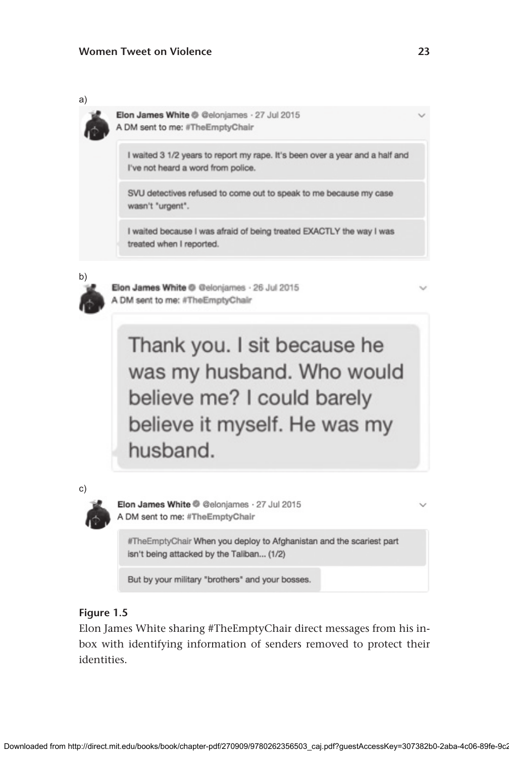#### **Women Tweet on Violence 23**



Elon James White @ @elonjames · 27 Jul 2015 A DM sent to me: #TheEmptyChair

I waited 3 1/2 years to report my rape. It's been over a year and a half and I've not heard a word from police.

SVU detectives refused to come out to speak to me because my case wasn't "urgent".

I waited because I was afraid of being treated EXACTLY the way I was treated when I reported.



Elon James White @ @elonjames - 26 Jul 2015 A DM sent to me: #TheEmptyChair

Thank you. I sit because he was my husband. Who would believe me? I could barely believe it myself. He was my husband.

c)



Elon James White @ @elonjames · 27 Jul 2015 A DM sent to me: #TheEmptyChair

#TheEmptyChair When you deploy to Afghanistan and the scariest part isn't being attacked by the Taliban... (1/2)

But by your military "brothers" and your bosses.

# **Figure 1.5**

Elon James White sharing #TheEmptyChair direct messages from his inbox with identifying information of senders removed to protect their identities.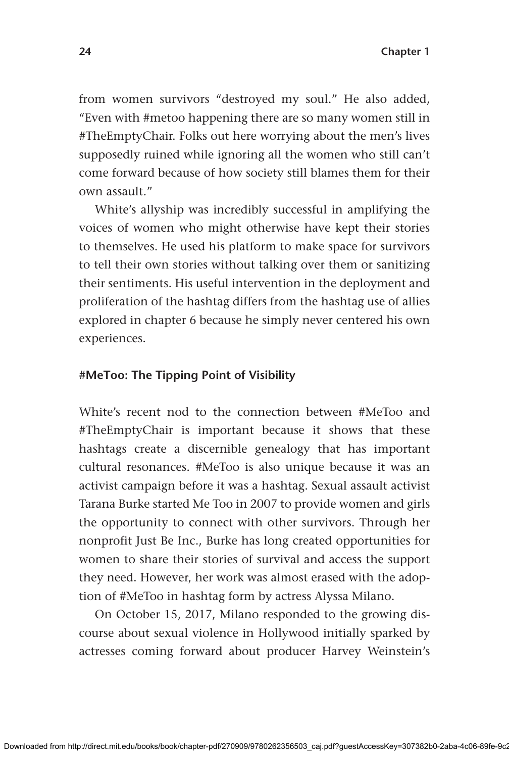from women survivors "destroyed my soul." He also added, "Even with #metoo happening there are so many women still in #TheEmptyChair. Folks out here worrying about the men's lives supposedly ruined while ignoring all the women who still can't come forward because of how society still blames them for their own assault."

White's allyship was incredibly successful in amplifying the voices of women who might otherwise have kept their stories to themselves. He used his platform to make space for survivors to tell their own stories without talking over them or sanitizing their sentiments. His useful intervention in the deployment and proliferation of the hashtag differs from the hashtag use of allies explored in chapter 6 because he simply never centered his own experiences.

# **#MeToo: The Tipping Point of Visibility**

White's recent nod to the connection between #MeToo and #TheEmptyChair is important because it shows that these hashtags create a discernible genealogy that has important cultural resonances. #MeToo is also unique because it was an activist campaign before it was a hashtag. Sexual assault activist Tarana Burke started Me Too in 2007 to provide women and girls the opportunity to connect with other survivors. Through her nonprofit Just Be Inc., Burke has long created opportunities for women to share their stories of survival and access the support they need. However, her work was almost erased with the adoption of #MeToo in hashtag form by actress Alyssa Milano.

On October 15, 2017, Milano responded to the growing discourse about sexual violence in Hollywood initially sparked by actresses coming forward about producer Harvey Weinstein's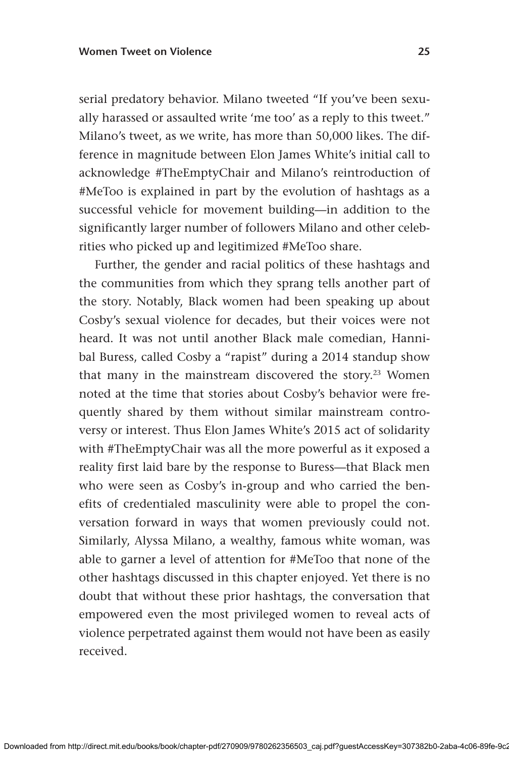serial predatory behavior. Milano tweeted "If you've been sexually harassed or assaulted write 'me too' as a reply to this tweet." Milano's tweet, as we write, has more than 50,000 likes. The difference in magnitude between Elon James White's initial call to acknowledge #TheEmptyChair and Milano's reintroduction of #MeToo is explained in part by the evolution of hashtags as a successful vehicle for movement building—in addition to the significantly larger number of followers Milano and other celebrities who picked up and legitimized #MeToo share.

Further, the gender and racial politics of these hashtags and the communities from which they sprang tells another part of the story. Notably, Black women had been speaking up about Cosby's sexual violence for decades, but their voices were not heard. It was not until another Black male comedian, Hannibal Buress, called Cosby a "rapist" during a 2014 standup show that many in the mainstream discovered the story.<sup>23</sup> Women noted at the time that stories about Cosby's behavior were frequently shared by them without similar mainstream controversy or interest. Thus Elon James White's 2015 act of solidarity with #TheEmptyChair was all the more powerful as it exposed a reality first laid bare by the response to Buress—that Black men who were seen as Cosby's in-group and who carried the benefits of credentialed masculinity were able to propel the conversation forward in ways that women previously could not. Similarly, Alyssa Milano, a wealthy, famous white woman, was able to garner a level of attention for #MeToo that none of the other hashtags discussed in this chapter enjoyed. Yet there is no doubt that without these prior hashtags, the conversation that empowered even the most privileged women to reveal acts of violence perpetrated against them would not have been as easily received.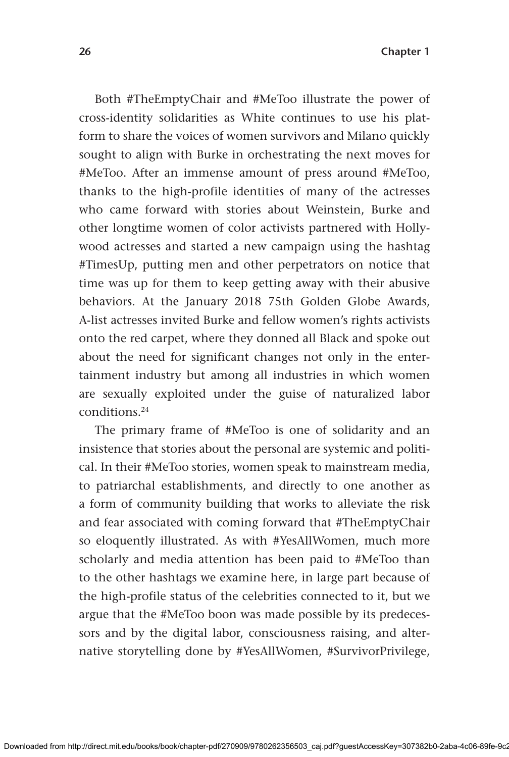**26 Chapter 1**

Both #TheEmptyChair and #MeToo illustrate the power of cross-identity solidarities as White continues to use his platform to share the voices of women survivors and Milano quickly sought to align with Burke in orchestrating the next moves for #MeToo. After an immense amount of press around #MeToo, thanks to the high-profile identities of many of the actresses who came forward with stories about Weinstein, Burke and other longtime women of color activists partnered with Hollywood actresses and started a new campaign using the hashtag #TimesUp, putting men and other perpetrators on notice that time was up for them to keep getting away with their abusive behaviors. At the January 2018 75th Golden Globe Awards, A-list actresses invited Burke and fellow women's rights activists onto the red carpet, where they donned all Black and spoke out about the need for significant changes not only in the entertainment industry but among all industries in which women are sexually exploited under the guise of naturalized labor conditions.24

The primary frame of #MeToo is one of solidarity and an insistence that stories about the personal are systemic and political. In their #MeToo stories, women speak to mainstream media, to patriarchal establishments, and directly to one another as a form of community building that works to alleviate the risk and fear associated with coming forward that #TheEmptyChair so eloquently illustrated. As with #YesAllWomen, much more scholarly and media attention has been paid to #MeToo than to the other hashtags we examine here, in large part because of the high-profile status of the celebrities connected to it, but we argue that the #MeToo boon was made possible by its predecessors and by the digital labor, consciousness raising, and alternative storytelling done by #YesAllWomen, #SurvivorPrivilege,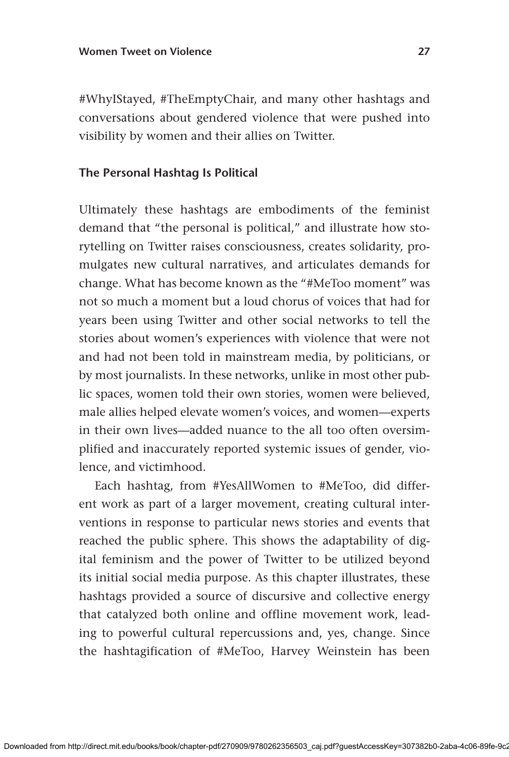#WhyIStayed, #TheEmptyChair, and many other hashtags and conversations about gendered violence that were pushed into visibility by women and their allies on Twitter.

#### **The Personal Hashtag Is Political**

Ultimately these hashtags are embodiments of the feminist demand that "the personal is political," and illustrate how storytelling on Twitter raises consciousness, creates solidarity, promulgates new cultural narratives, and articulates demands for change. What has become known as the "#MeToo moment" was not so much a moment but a loud chorus of voices that had for years been using Twitter and other social networks to tell the stories about women's experiences with violence that were not and had not been told in mainstream media, by politicians, or by most journalists. In these networks, unlike in most other public spaces, women told their own stories, women were believed, male allies helped elevate women's voices, and women—experts in their own lives—added nuance to the all too often oversimplified and inaccurately reported systemic issues of gender, violence, and victimhood.

Each hashtag, from #YesAllWomen to #MeToo, did different work as part of a larger movement, creating cultural interventions in response to particular news stories and events that reached the public sphere. This shows the adaptability of digital feminism and the power of Twitter to be utilized beyond its initial social media purpose. As this chapter illustrates, these hashtags provided a source of discursive and collective energy that catalyzed both online and offline movement work, leading to powerful cultural repercussions and, yes, change. Since the hashtagification of #MeToo, Harvey Weinstein has been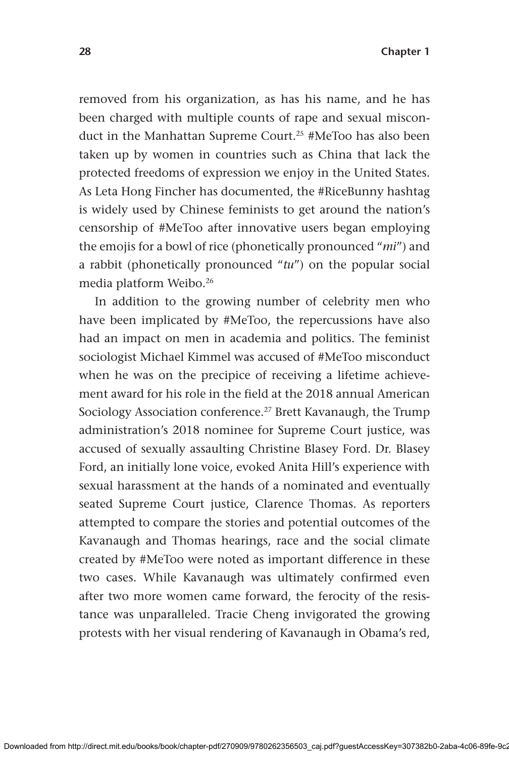removed from his organization, as has his name, and he has been charged with multiple counts of rape and sexual misconduct in the Manhattan Supreme Court.<sup>25</sup> #MeToo has also been taken up by women in countries such as China that lack the protected freedoms of expression we enjoy in the United States. As Leta Hong Fincher has documented, the #RiceBunny hashtag is widely used by Chinese feminists to get around the nation's censorship of #MeToo after innovative users began employing the emojis for a bowl of rice (phonetically pronounced "*mi*") and a rabbit (phonetically pronounced "*tu*") on the popular social media platform Weibo.26

In addition to the growing number of celebrity men who have been implicated by #MeToo, the repercussions have also had an impact on men in academia and politics. The feminist sociologist Michael Kimmel was accused of #MeToo misconduct when he was on the precipice of receiving a lifetime achievement award for his role in the field at the 2018 annual American Sociology Association conference.<sup>27</sup> Brett Kavanaugh, the Trump administration's 2018 nominee for Supreme Court justice, was accused of sexually assaulting Christine Blasey Ford. Dr. Blasey Ford, an initially lone voice, evoked Anita Hill's experience with sexual harassment at the hands of a nominated and eventually seated Supreme Court justice, Clarence Thomas. As reporters attempted to compare the stories and potential outcomes of the Kavanaugh and Thomas hearings, race and the social climate created by #MeToo were noted as important difference in these two cases. While Kavanaugh was ultimately confirmed even after two more women came forward, the ferocity of the resistance was unparalleled. Tracie Cheng invigorated the growing protests with her visual rendering of Kavanaugh in Obama's red,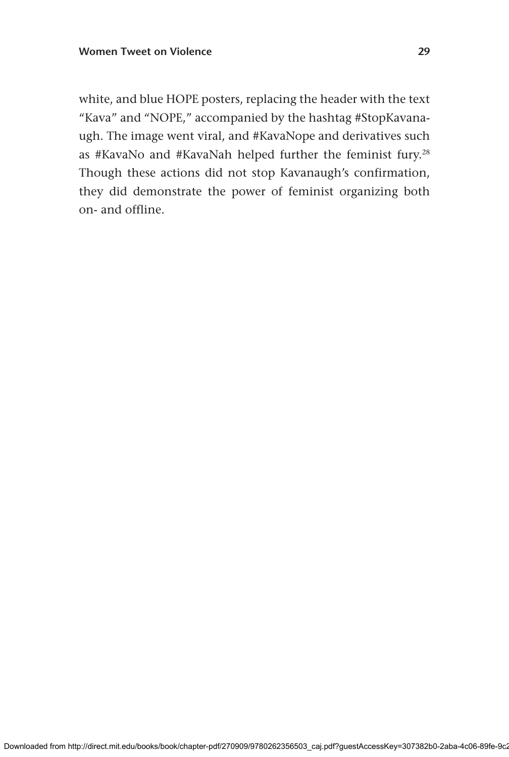white, and blue HOPE posters, replacing the header with the text "Kava" and "NOPE," accompanied by the hashtag #StopKavanaugh. The image went viral, and #KavaNope and derivatives such as #KavaNo and #KavaNah helped further the feminist fury.<sup>28</sup> Though these actions did not stop Kavanaugh's confirmation, they did demonstrate the power of feminist organizing both on- and offline.